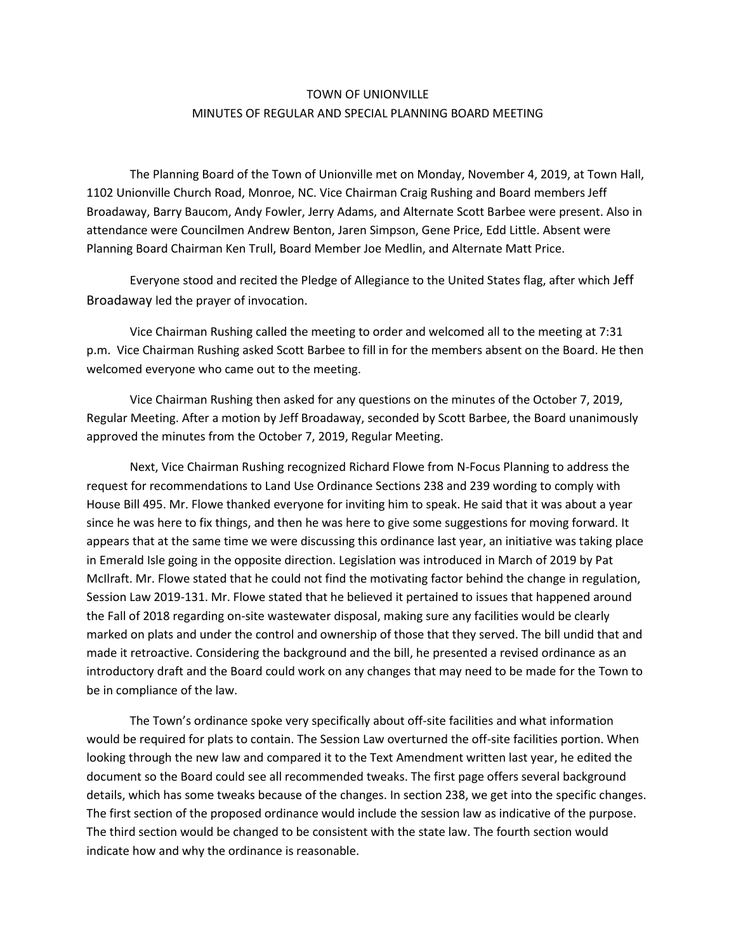## TOWN OF UNIONVILLE MINUTES OF REGULAR AND SPECIAL PLANNING BOARD MEETING

The Planning Board of the Town of Unionville met on Monday, November 4, 2019, at Town Hall, 1102 Unionville Church Road, Monroe, NC. Vice Chairman Craig Rushing and Board members Jeff Broadaway, Barry Baucom, Andy Fowler, Jerry Adams, and Alternate Scott Barbee were present. Also in attendance were Councilmen Andrew Benton, Jaren Simpson, Gene Price, Edd Little. Absent were Planning Board Chairman Ken Trull, Board Member Joe Medlin, and Alternate Matt Price.

Everyone stood and recited the Pledge of Allegiance to the United States flag, after which Jeff Broadaway led the prayer of invocation.

Vice Chairman Rushing called the meeting to order and welcomed all to the meeting at 7:31 p.m. Vice Chairman Rushing asked Scott Barbee to fill in for the members absent on the Board. He then welcomed everyone who came out to the meeting.

Vice Chairman Rushing then asked for any questions on the minutes of the October 7, 2019, Regular Meeting. After a motion by Jeff Broadaway, seconded by Scott Barbee, the Board unanimously approved the minutes from the October 7, 2019, Regular Meeting.

Next, Vice Chairman Rushing recognized Richard Flowe from N-Focus Planning to address the request for recommendations to Land Use Ordinance Sections 238 and 239 wording to comply with House Bill 495. Mr. Flowe thanked everyone for inviting him to speak. He said that it was about a year since he was here to fix things, and then he was here to give some suggestions for moving forward. It appears that at the same time we were discussing this ordinance last year, an initiative was taking place in Emerald Isle going in the opposite direction. Legislation was introduced in March of 2019 by Pat McIlraft. Mr. Flowe stated that he could not find the motivating factor behind the change in regulation, Session Law 2019-131. Mr. Flowe stated that he believed it pertained to issues that happened around the Fall of 2018 regarding on-site wastewater disposal, making sure any facilities would be clearly marked on plats and under the control and ownership of those that they served. The bill undid that and made it retroactive. Considering the background and the bill, he presented a revised ordinance as an introductory draft and the Board could work on any changes that may need to be made for the Town to be in compliance of the law.

The Town's ordinance spoke very specifically about off-site facilities and what information would be required for plats to contain. The Session Law overturned the off-site facilities portion. When looking through the new law and compared it to the Text Amendment written last year, he edited the document so the Board could see all recommended tweaks. The first page offers several background details, which has some tweaks because of the changes. In section 238, we get into the specific changes. The first section of the proposed ordinance would include the session law as indicative of the purpose. The third section would be changed to be consistent with the state law. The fourth section would indicate how and why the ordinance is reasonable.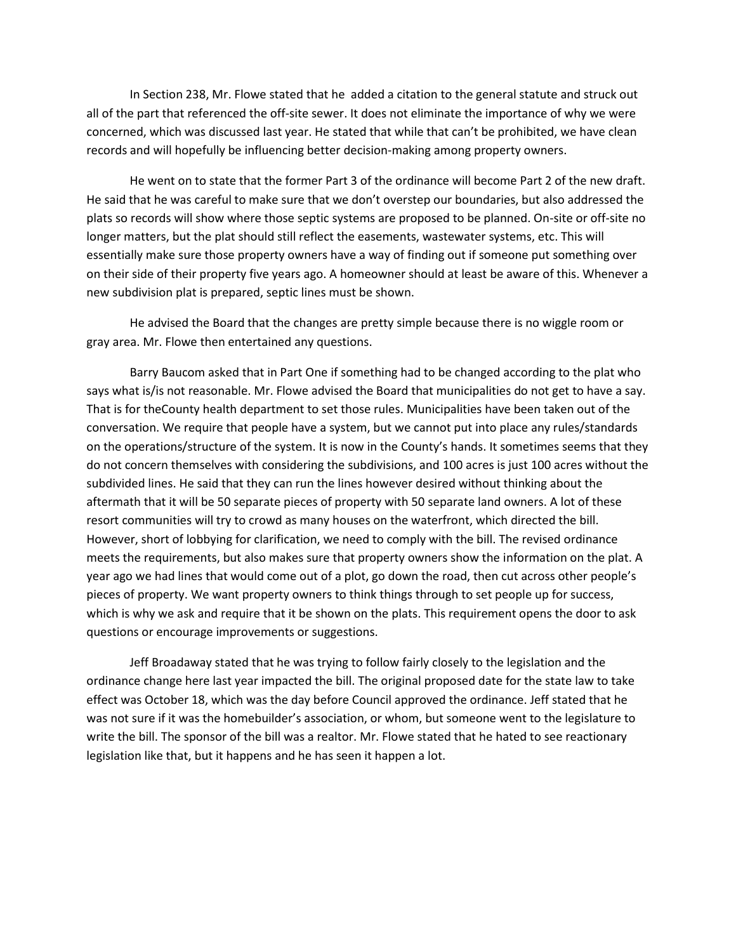In Section 238, Mr. Flowe stated that he added a citation to the general statute and struck out all of the part that referenced the off-site sewer. It does not eliminate the importance of why we were concerned, which was discussed last year. He stated that while that can't be prohibited, we have clean records and will hopefully be influencing better decision-making among property owners.

He went on to state that the former Part 3 of the ordinance will become Part 2 of the new draft. He said that he was careful to make sure that we don't overstep our boundaries, but also addressed the plats so records will show where those septic systems are proposed to be planned. On-site or off-site no longer matters, but the plat should still reflect the easements, wastewater systems, etc. This will essentially make sure those property owners have a way of finding out if someone put something over on their side of their property five years ago. A homeowner should at least be aware of this. Whenever a new subdivision plat is prepared, septic lines must be shown.

He advised the Board that the changes are pretty simple because there is no wiggle room or gray area. Mr. Flowe then entertained any questions.

Barry Baucom asked that in Part One if something had to be changed according to the plat who says what is/is not reasonable. Mr. Flowe advised the Board that municipalities do not get to have a say. That is for theCounty health department to set those rules. Municipalities have been taken out of the conversation. We require that people have a system, but we cannot put into place any rules/standards on the operations/structure of the system. It is now in the County's hands. It sometimes seems that they do not concern themselves with considering the subdivisions, and 100 acres is just 100 acres without the subdivided lines. He said that they can run the lines however desired without thinking about the aftermath that it will be 50 separate pieces of property with 50 separate land owners. A lot of these resort communities will try to crowd as many houses on the waterfront, which directed the bill. However, short of lobbying for clarification, we need to comply with the bill. The revised ordinance meets the requirements, but also makes sure that property owners show the information on the plat. A year ago we had lines that would come out of a plot, go down the road, then cut across other people's pieces of property. We want property owners to think things through to set people up for success, which is why we ask and require that it be shown on the plats. This requirement opens the door to ask questions or encourage improvements or suggestions.

Jeff Broadaway stated that he was trying to follow fairly closely to the legislation and the ordinance change here last year impacted the bill. The original proposed date for the state law to take effect was October 18, which was the day before Council approved the ordinance. Jeff stated that he was not sure if it was the homebuilder's association, or whom, but someone went to the legislature to write the bill. The sponsor of the bill was a realtor. Mr. Flowe stated that he hated to see reactionary legislation like that, but it happens and he has seen it happen a lot.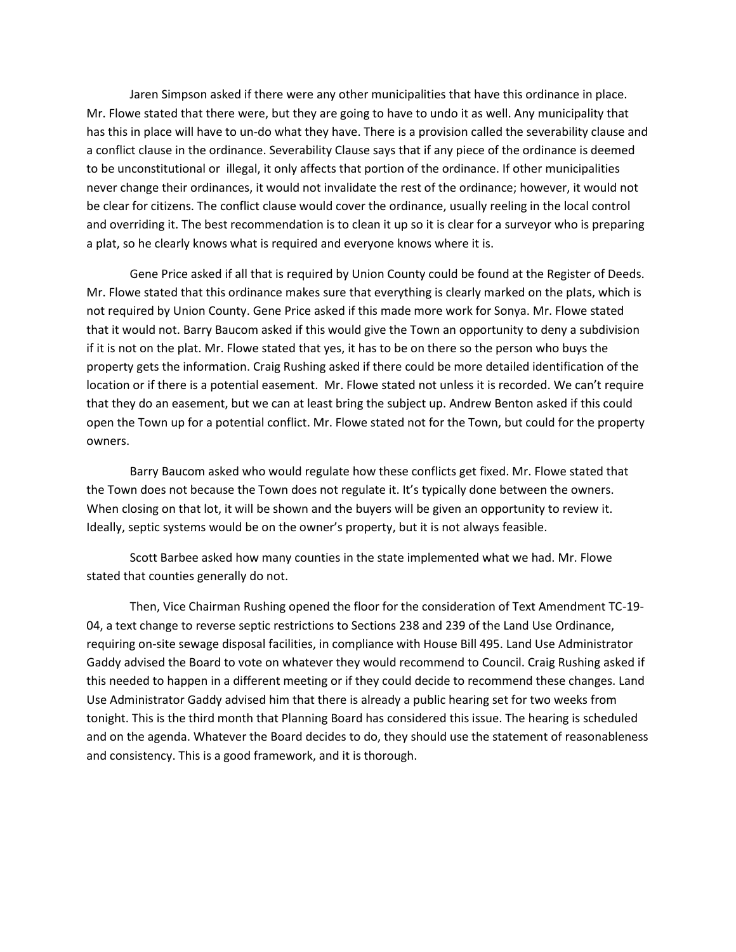Jaren Simpson asked if there were any other municipalities that have this ordinance in place. Mr. Flowe stated that there were, but they are going to have to undo it as well. Any municipality that has this in place will have to un-do what they have. There is a provision called the severability clause and a conflict clause in the ordinance. Severability Clause says that if any piece of the ordinance is deemed to be unconstitutional or illegal, it only affects that portion of the ordinance. If other municipalities never change their ordinances, it would not invalidate the rest of the ordinance; however, it would not be clear for citizens. The conflict clause would cover the ordinance, usually reeling in the local control and overriding it. The best recommendation is to clean it up so it is clear for a surveyor who is preparing a plat, so he clearly knows what is required and everyone knows where it is.

Gene Price asked if all that is required by Union County could be found at the Register of Deeds. Mr. Flowe stated that this ordinance makes sure that everything is clearly marked on the plats, which is not required by Union County. Gene Price asked if this made more work for Sonya. Mr. Flowe stated that it would not. Barry Baucom asked if this would give the Town an opportunity to deny a subdivision if it is not on the plat. Mr. Flowe stated that yes, it has to be on there so the person who buys the property gets the information. Craig Rushing asked if there could be more detailed identification of the location or if there is a potential easement. Mr. Flowe stated not unless it is recorded. We can't require that they do an easement, but we can at least bring the subject up. Andrew Benton asked if this could open the Town up for a potential conflict. Mr. Flowe stated not for the Town, but could for the property owners.

Barry Baucom asked who would regulate how these conflicts get fixed. Mr. Flowe stated that the Town does not because the Town does not regulate it. It's typically done between the owners. When closing on that lot, it will be shown and the buyers will be given an opportunity to review it. Ideally, septic systems would be on the owner's property, but it is not always feasible.

Scott Barbee asked how many counties in the state implemented what we had. Mr. Flowe stated that counties generally do not.

Then, Vice Chairman Rushing opened the floor for the consideration of Text Amendment TC-19- 04, a text change to reverse septic restrictions to Sections 238 and 239 of the Land Use Ordinance, requiring on-site sewage disposal facilities, in compliance with House Bill 495. Land Use Administrator Gaddy advised the Board to vote on whatever they would recommend to Council. Craig Rushing asked if this needed to happen in a different meeting or if they could decide to recommend these changes. Land Use Administrator Gaddy advised him that there is already a public hearing set for two weeks from tonight. This is the third month that Planning Board has considered this issue. The hearing is scheduled and on the agenda. Whatever the Board decides to do, they should use the statement of reasonableness and consistency. This is a good framework, and it is thorough.